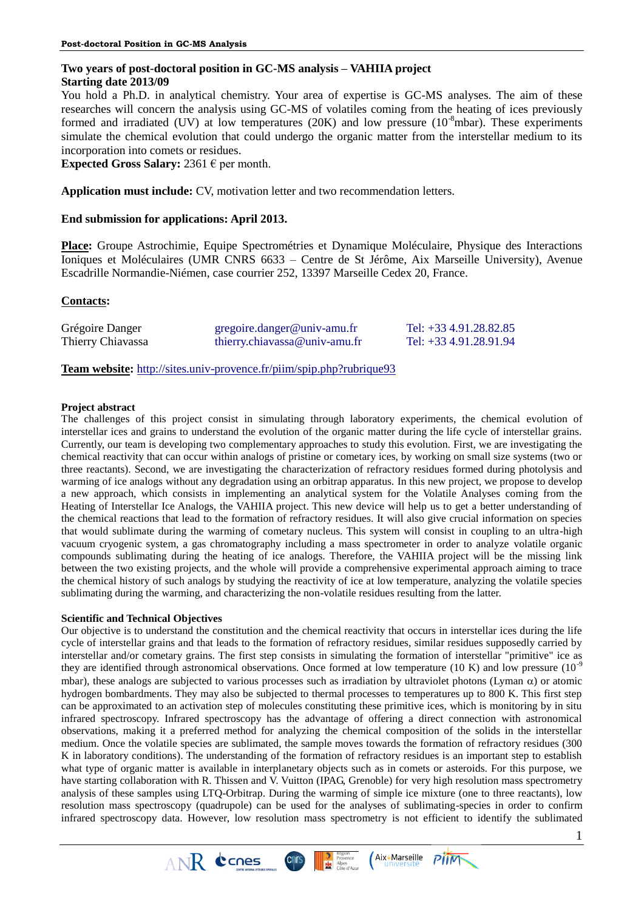# **Two years of post-doctoral position in GC-MS analysis – VAHIIA project Starting date 2013/09**

You hold a Ph.D. in analytical chemistry. Your area of expertise is GC-MS analyses. The aim of these researches will concern the analysis using GC-MS of volatiles coming from the heating of ices previously formed and irradiated (UV) at low temperatures (20K) and low pressure  $(10^{-8} \text{mbar})$ . These experiments simulate the chemical evolution that could undergo the organic matter from the interstellar medium to its incorporation into comets or residues.

**Expected Gross Salary:** 2361  $\epsilon$  per month.

**Application must include:** CV, motivation letter and two recommendation letters.

## **End submission for applications: April 2013.**

**Place:** Groupe Astrochimie, Equipe Spectrométries et Dynamique Moléculaire, Physique des Interactions Ioniques et Moléculaires (UMR CNRS 6633 – Centre de St Jérôme, Aix Marseille University), Avenue Escadrille Normandie-Niémen, case courrier 252, 13397 Marseille Cedex 20, France.

## **Contacts:**

| Grégoire Danger   | $gregoire.danger@univ-amu.fr$ | Tel: $+334.91.28.82.85$   |
|-------------------|-------------------------------|---------------------------|
| Thierry Chiavassa | theory.chiavassa@univ-amu.fr  | Tel: $+33\,4.91.28.91.94$ |

**Team website:** <http://sites.univ-provence.fr/piim/spip.php?rubrique93>

 $ANR$  ccnes

## **Project abstract**

The challenges of this project consist in simulating through laboratory experiments, the chemical evolution of interstellar ices and grains to understand the evolution of the organic matter during the life cycle of interstellar grains. Currently, our team is developing two complementary approaches to study this evolution. First, we are investigating the chemical reactivity that can occur within analogs of pristine or cometary ices, by working on small size systems (two or three reactants). Second, we are investigating the characterization of refractory residues formed during photolysis and warming of ice analogs without any degradation using an orbitrap apparatus. In this new project, we propose to develop a new approach, which consists in implementing an analytical system for the Volatile Analyses coming from the Heating of Interstellar Ice Analogs, the VAHIIA project. This new device will help us to get a better understanding of the chemical reactions that lead to the formation of refractory residues. It will also give crucial information on species that would sublimate during the warming of cometary nucleus. This system will consist in coupling to an ultra-high vacuum cryogenic system, a gas chromatography including a mass spectrometer in order to analyze volatile organic compounds sublimating during the heating of ice analogs. Therefore, the VAHIIA project will be the missing link between the two existing projects, and the whole will provide a comprehensive experimental approach aiming to trace the chemical history of such analogs by studying the reactivity of ice at low temperature, analyzing the volatile species sublimating during the warming, and characterizing the non-volatile residues resulting from the latter.

## **Scientific and Technical Objectives**

Our objective is to understand the constitution and the chemical reactivity that occurs in interstellar ices during the life cycle of interstellar grains and that leads to the formation of refractory residues, similar residues supposedly carried by interstellar and/or cometary grains. The first step consists in simulating the formation of interstellar "primitive" ice as they are identified through astronomical observations. Once formed at low temperature (10 K) and low pressure  $(10^{-9})$ mbar), these analogs are subjected to various processes such as irradiation by ultraviolet photons (Lyman  $\alpha$ ) or atomic hydrogen bombardments. They may also be subjected to thermal processes to temperatures up to 800 K. This first step can be approximated to an activation step of molecules constituting these primitive ices, which is monitoring by in situ infrared spectroscopy. Infrared spectroscopy has the advantage of offering a direct connection with astronomical observations, making it a preferred method for analyzing the chemical composition of the solids in the interstellar medium. Once the volatile species are sublimated, the sample moves towards the formation of refractory residues (300 K in laboratory conditions). The understanding of the formation of refractory residues is an important step to establish what type of organic matter is available in interplanetary objects such as in comets or asteroids. For this purpose, we have starting collaboration with R. Thissen and V. Vuitton (IPAG, Grenoble) for very high resolution mass spectrometry analysis of these samples using LTQ-Orbitrap. During the warming of simple ice mixture (one to three reactants), low resolution mass spectroscopy (quadrupole) can be used for the analyses of sublimating-species in order to confirm infrared spectroscopy data. However, low resolution mass spectrometry is not efficient to identify the sublimated

Provence

**CINTS** 

Aix\*Marseille

**PIIM**